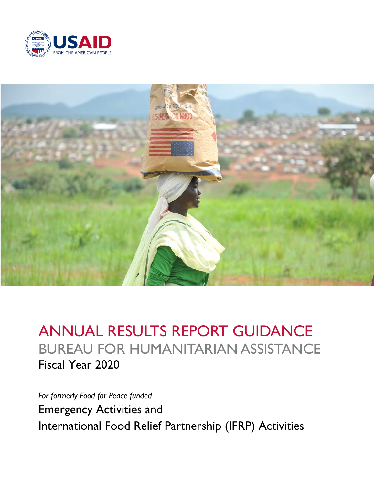



# ANNUAL RESULTS REPORT GUIDANCE BUREAU FOR HUMANITARIAN ASSISTANCE Fiscal Year 2020

*For formerly Food for Peace funded* Emergency Activities and International Food Relief Partnership (IFRP) Activities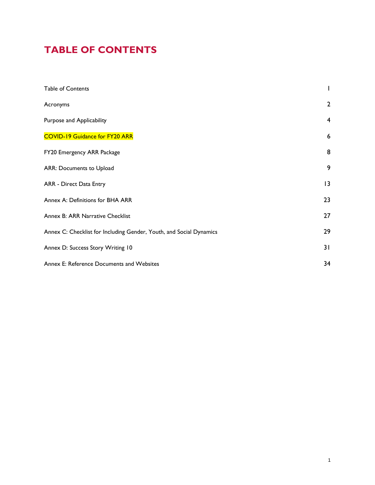## <span id="page-1-0"></span>**TABLE OF CONTENTS**

| Table of Contents                                                   | I              |
|---------------------------------------------------------------------|----------------|
| Acronyms                                                            | $\overline{2}$ |
| Purpose and Applicability                                           | $\overline{4}$ |
| <b>COVID-19 Guidance for FY20 ARR</b>                               | 6              |
| FY20 Emergency ARR Package                                          | 8              |
| ARR: Documents to Upload                                            | 9              |
| ARR - Direct Data Entry                                             | 13             |
| Annex A: Definitions for BHA ARR                                    | 23             |
| Annex B: ARR Narrative Checklist                                    | 27             |
| Annex C: Checklist for Including Gender, Youth, and Social Dynamics | 29             |
| Annex D: Success Story Writing 10                                   | 31             |
| Annex E: Reference Documents and Websites                           | 34             |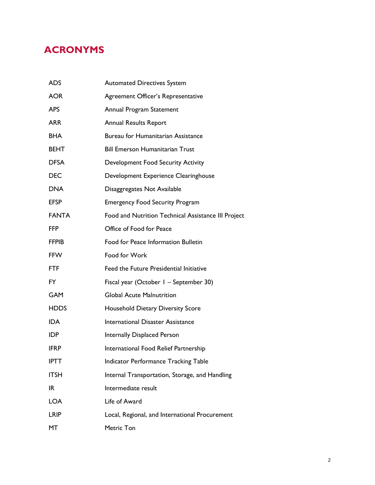## <span id="page-2-0"></span>**ACRONYMS**

| ADS          | <b>Automated Directives System</b>                  |
|--------------|-----------------------------------------------------|
| <b>AOR</b>   | Agreement Officer's Representative                  |
| APS          | Annual Program Statement                            |
| ARR          | <b>Annual Results Report</b>                        |
| BHA          | <b>Bureau for Humanitarian Assistance</b>           |
| BEHT         | <b>Bill Emerson Humanitarian Trust</b>              |
| <b>DFSA</b>  | <b>Development Food Security Activity</b>           |
| <b>DEC</b>   | Development Experience Clearinghouse                |
| <b>DNA</b>   | Disaggregates Not Available                         |
| <b>EFSP</b>  | <b>Emergency Food Security Program</b>              |
| <b>FANTA</b> | Food and Nutrition Technical Assistance III Project |
| <b>FFP</b>   | Office of Food for Peace                            |
| <b>FFPIB</b> | Food for Peace Information Bulletin                 |
| <b>FFW</b>   | Food for Work                                       |
| <b>FTF</b>   | Feed the Future Presidential Initiative             |
| FY           | Fiscal year (October 1 - September 30)              |
| <b>GAM</b>   | <b>Global Acute Malnutrition</b>                    |
| <b>HDDS</b>  | <b>Household Dietary Diversity Score</b>            |
| <b>IDA</b>   | <b>International Disaster Assistance</b>            |
| <b>IDP</b>   | Internally Displaced Person                         |
| IFRP         | International Food Relief Partnership               |
| <b>IPTT</b>  | <b>Indicator Performance Tracking Table</b>         |
| <b>ITSH</b>  | Internal Transportation, Storage, and Handling      |
| IR           | Intermediate result                                 |
| <b>LOA</b>   | Life of Award                                       |
| LRIP         | Local, Regional, and International Procurement      |
| MT           | Metric Ton                                          |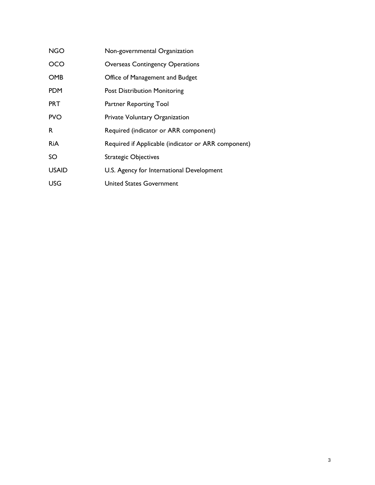<span id="page-3-0"></span>

| <b>NGO</b>   | Non-governmental Organization                       |
|--------------|-----------------------------------------------------|
| OCO          | <b>Overseas Contingency Operations</b>              |
| <b>OMB</b>   | Office of Management and Budget                     |
| <b>PDM</b>   | <b>Post Distribution Monitoring</b>                 |
| <b>PRT</b>   | Partner Reporting Tool                              |
| <b>PVO</b>   | Private Voluntary Organization                      |
| R            | Required (indicator or ARR component)               |
| <b>RiA</b>   | Required if Applicable (indicator or ARR component) |
| SO           | <b>Strategic Objectives</b>                         |
| <b>USAID</b> | U.S. Agency for International Development           |
| <b>USG</b>   | <b>United States Government</b>                     |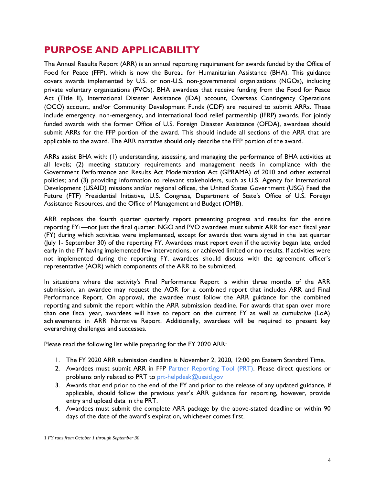## **PURPOSE AND APPLICABILITY**

The Annual Results Report (ARR) is an annual reporting requirement for awards funded by the Office of Food for Peace (FFP), which is now the Bureau for Humanitarian Assistance (BHA). This guidance covers awards implemented by U.S. or non-U.S. non-governmental organizations (NGOs), including private voluntary organizations (PVOs). BHA awardees that receive funding from the Food for Peace Act (Title II), International Disaster Assistance (IDA) account, Overseas Contingency Operations (OCO) account, and/or Community Development Funds (CDF) are required to submit ARRs. These include emergency, non-emergency, and international food relief partnership (IFRP) awards. For jointly funded awards with the former Office of U.S. Foreign Disaster Assistance (OFDA), awardees should submit ARRs for the FFP portion of the award. This should include all sections of the ARR that are applicable to the award. The ARR narrative should only describe the FFP portion of the award.

ARRs assist BHA with: (1) understanding, assessing, and managing the performance of BHA activities at all levels; (2) meeting statutory requirements and management needs in compliance with the Government Performance and Results Act Modernization Act (GPRAMA) of 2010 and other external policies; and (3) providing information to relevant stakeholders, such as U.S. Agency for International Development (USAID) missions and/or regional offices, the United States Government (USG) Feed the Future (FTF) Presidential Initiative, U.S. Congress, Department of State's Office of U.S. Foreign Assistance Resources, and the Office of Management and Budget (OMB).

ARR replaces the fourth quarter quarterly report presenting progress and results for the entire reporting FY1—not just the final quarter. NGO and PVO awardees must submit ARR for each fiscal year (FY) during which activities were implemented, except for awards that were signed in the last quarter (July 1- September 30) of the reporting FY. Awardees must report even if the activity began late, ended early in the FY having implemented few interventions, or achieved limited or no results. If activities were not implemented during the reporting FY, awardees should discuss with the agreement officer's representative (AOR) which components of the ARR to be submitted.

In situations where the activity's Final Performance Report is within three months of the ARR submission, an awardee may request the AOR for a combined report that includes ARR and Final Performance Report. On approval, the awardee must follow the ARR guidance for the combined reporting and submit the report within the ARR submission deadline. For awards that span over more than one fiscal year, awardees will have to report on the current FY as well as cumulative (LoA) achievements in ARR Narrative Report. Additionally, awardees will be required to present key overarching challenges and successes.

Please read the following list while preparing for the FY 2020 ARR:

- 1. The FY 2020 ARR submission deadline is November 2, 2020, 12:00 pm Eastern Standard Time.
- 2. Awardees must submit ARR in FFP [Partner Reporting Tool \(PRT\).](https://arr-prt.net/) Please direct questions or problems only related to PRT to [prt-helpdesk@usaid.gov](mailto:prt-helpdesk@usaid.gov)
- 3. Awards that end prior to the end of the FY and prior to the release of any updated guidance, if applicable, should follow the previous year's ARR guidance for reporting, however, provide entry and upload data in the PRT.
- 4. Awardees must submit the complete ARR package by the above-stated deadline or within 90 days of the date of the award's expiration, whichever comes first.

1 *FY runs from October 1 through September 30*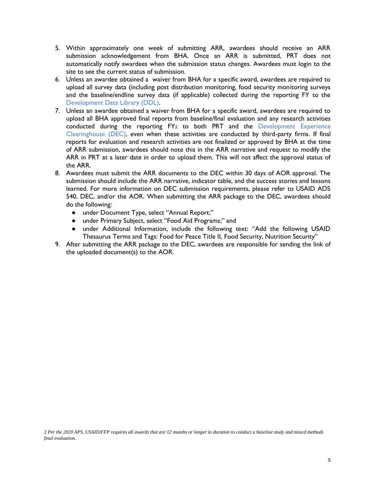- 5. Within approximately one week of submitting ARR, awardees should receive an ARR submission acknowledgement from BHA. Once an ARR is submitted, PRT does not automatically notify awardees when the submission status changes. Awardees must login to the site to see the current status of submission.
- 6. Unless an awardee obtained a waiver from BHA for a specific award, awardees are required to upload all survey data (including post distribution monitoring, food security monitoring surveys and the baseline/endline survey data (if applicable) collected during the reporting FY to the [Development Data Library \(DDL\).](https://data.usaid.gov/)
- 7. Unless an awardee obtained a waiver from BHA for a specific award, awardees are required to upload all BHA approved final reports from baseline/final evaluation and any research activities conducted during the reporting FY<sub>2</sub> to both PRT and the Development Experience [Clearinghouse \(DEC\),](https://dec.usaid.gov/dec/home/Default.aspx) even when these activities are conducted by third-party firms. If final reports for evaluation and research activities are not finalized or approved by BHA at the time of ARR submission, awardees should note this in the ARR narrative and request to modify the ARR in PRT at a later date in order to upload them. This will not affect the approval status of the ARR.
- 8. Awardees must submit the ARR documents to the DEC within 30 days of AOR approval. The submission should include the ARR narrative, indicator table, and the success stories and lessons learned. For more information on DEC submission requirements, please refer to USAID ADS 540, DEC, and/or the AOR. When submitting the ARR package to the DEC, awardees should do the following:
	- under Document Type, select "Annual Report;"
	- under Primary Subject, select "Food Aid Programs;" and
	- under Additional Information, include the following text: "Add the following USAID Thesaurus Terms and Tags: Food for Peace Title II, Food Security, Nutrition Security"
- <span id="page-5-0"></span>9. After submitting the ARR package to the DEC, awardees are responsible for sending the link of the uploaded document(s) to the AOR.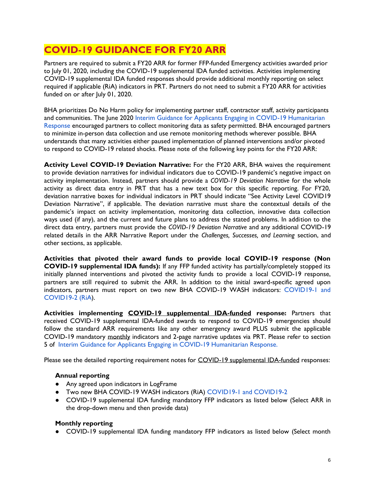## **COVID-19 GUIDANCE FOR FY20 ARR**

Partners are required to submit a FY20 ARR for former FFP-funded Emergency activities awarded prior to July 01, 2020, including the COVID-19 supplemental IDA funded activities. Activities implementing COVID-19 supplemental IDA funded responses should provide additional monthly reporting on select required if applicable (RiA) indicators in PRT. Partners do not need to submit a FY20 ARR for activities funded on or after July 01, 2020.

BHA prioritizes Do No Harm policy for implementing partner staff, contractor staff, activity participants and communities. The June 2020 Interim Guidance for Applicants Engaging in COVID-19 Humanitarian [Response](https://www.usaid.gov/sites/default/files/documents/1866/Interim_Guidance_for_COVID19_FINAL_June_11_2020_Revised_BHA_FFP_Indicators.pdf) encouraged partners to collect monitoring data as safety permitted. BHA encouraged partners to minimize in-person data collection and use remote monitoring methods wherever possible. BHA understands that many activities either paused implementation of planned interventions and/or pivoted to respond to COVID-19 related shocks. Please note of the following key points for the FY20 ARR:

**Activity Level COVID-19 Deviation Narrative:** For the FY20 ARR, BHA waives the requirement to provide deviation narratives for individual indicators due to COVID-19 pandemic's negative impact on activity implementation. Instead, partners should provide a *COVID-19 Deviation Narrative* for the whole activity as direct data entry in PRT that has a new text box for this specific reporting. For FY20, deviation narrative boxes for individual indicators in PRT should indicate "See Activity Level COVID19 Deviation Narrative", if applicable. The deviation narrative must share the contextual details of the pandemic's impact on activity implementation, monitoring data collection, innovative data collection ways used (if any), and the current and future plans to address the stated problems. In addition to the direct data entry, partners must provide the *COVID-19 Deviation Narrative* and any additional COVID-19 related details in the ARR Narrative Report under the *Challenges, Successes, and Learning* section, and other sections, as applicable.

**Activities that pivoted their award funds to provide local COVID-19 response (Non COVID-19 supplemental IDA funds):** If any FFP funded activity has partially/completely stopped its initially planned interventions and pivoted the activity funds to provide a local COVID-19 response, partners are still required to submit the ARR. In addition to the initial award-specific agreed upon indicators, partners must report on two new BHA COVID-19 WASH indicators: [COVID19-1 and](https://www.usaid.gov/food-assistance/documents/ffp-indicators-handbook-wash-indicators-covid19)  [COVID19-2](https://www.usaid.gov/food-assistance/documents/ffp-indicators-handbook-wash-indicators-covid19) (RiA).

**Activities implementing COVID-19 supplemental IDA-funded response:** Partners that received COVID-19 supplemental IDA-funded awards to respond to COVID-19 emergencies should follow the standard ARR requirements like any other emergency award PLUS submit the applicable COVID-19 mandatory monthly indicators and 2-page narrative updates via PRT. Please refer to section 5 of [Interim Guidance for Applicants Engaging in COVID-19 Humanitarian Response.](https://www.usaid.gov/sites/default/files/documents/1866/Interim_Guidance_for_COVID19_FINAL_June_11_2020_Revised_BHA_FFP_Indicators.pdf)

Please see the detailed reporting requirement notes for COVID-19 supplemental IDA-funded responses:

### **Annual reporting**

- Any agreed upon indicators in LogFrame
- Two new BHA COVID-19 WASH indicators (RiA) [COVID19-1 and COVID19-2](https://www.usaid.gov/food-assistance/documents/ffp-indicators-handbook-wash-indicators-covid19)
- COVID-19 supplemental IDA funding mandatory FFP indicators as listed below (Select ARR in the drop-down menu and then provide data)

### **Monthly reporting**

● COVID-19 supplemental IDA funding mandatory FFP indicators as listed below (Select month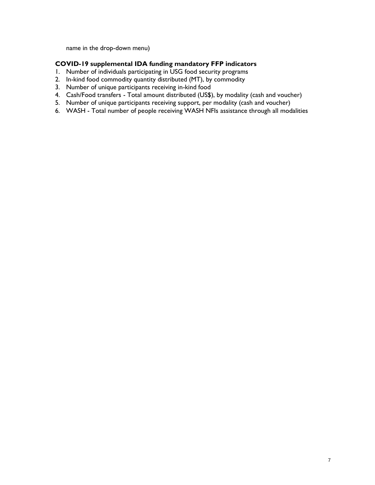name in the drop-down menu)

### **COVID-19 supplemental IDA funding mandatory FFP indicators**

- 1. Number of individuals participating in USG food security programs
- 2. In-kind food commodity quantity distributed (MT), by commodity
- 3. Number of unique participants receiving in-kind food
- 4. Cash/Food transfers Total amount distributed (US\$), by modality (cash and voucher)
- 5. Number of unique participants receiving support, per modality (cash and voucher)
- <span id="page-7-0"></span>6. WASH - Total number of people receiving WASH NFIs assistance through all modalities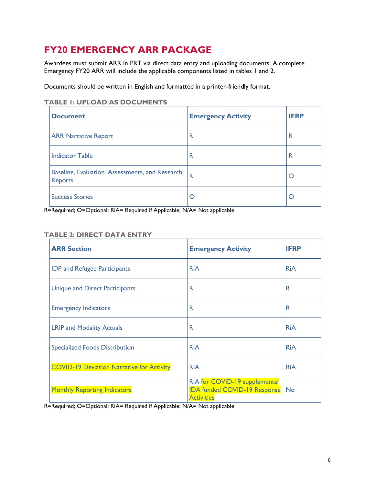## **FY20 EMERGENCY ARR PACKAGE**

Awardees must submit ARR in PRT via direct data entry and uploading documents. A complete Emergency FY20 ARR will include the applicable components listed in tables 1 and 2.

Documents should be written in English and formatted in a printer-friendly format.

### **TABLE 1: UPLOAD AS DOCUMENTS**

| <b>Document</b>                                            | <b>Emergency Activity</b> | <b>IFRP</b> |
|------------------------------------------------------------|---------------------------|-------------|
| <b>ARR Narrative Report</b>                                | R                         | R           |
| <b>Indicator Table</b>                                     | R                         | R           |
| Baseline, Evaluation, Assessments, and Research<br>Reports | $\mathsf{R}$              | Ő           |
| <b>Success Stories</b>                                     |                           | O           |

R=Required; O=Optional; RiA= Required if Applicable; N/A= Not applicable

### **TABLE 2: DIRECT DATA ENTRY**

| <b>ARR Section</b>                               | <b>Emergency Activity</b>                                                                 | <b>IFRP</b> |
|--------------------------------------------------|-------------------------------------------------------------------------------------------|-------------|
| <b>IDP and Refugee Participants</b>              | <b>RiA</b>                                                                                | <b>RiA</b>  |
| <b>Unique and Direct Participants</b>            | R                                                                                         | R           |
| <b>Emergency Indicators</b>                      | R                                                                                         | R           |
| <b>LRIP and Modality Actuals</b>                 | R                                                                                         | <b>RiA</b>  |
| <b>Specialized Foods Distribution</b>            | <b>RiA</b>                                                                                | <b>RiA</b>  |
| <b>COVID-19 Deviation Narrative for Activity</b> | <b>RiA</b>                                                                                | <b>RiA</b>  |
| <b>Monthly Reporting Indicators</b>              | RiA for COVID-19 supplemental<br><b>IDA funded COVID-19 Response</b><br><b>Activities</b> | <b>No</b>   |

<span id="page-8-0"></span>R=Required; O=Optional; RiA= Required if Applicable; N/A= Not applicable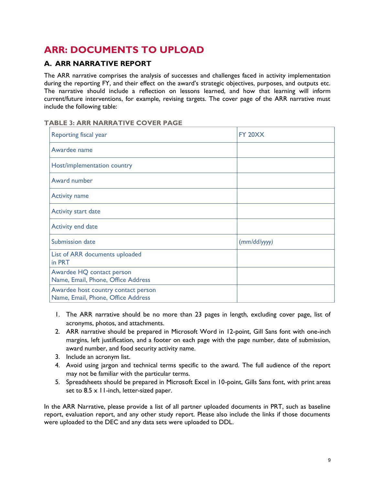## **ARR: DOCUMENTS TO UPLOAD**

### **A. ARR NARRATIVE REPORT**

The ARR narrative comprises the analysis of successes and challenges faced in activity implementation during the reporting FY, and their effect on the award's strategic objectives, purposes, and outputs etc. The narrative should include a reflection on lessons learned, and how that learning will inform current/future interventions, for example, revising targets. The cover page of the ARR narrative must include the following table:

### **TABLE 3: ARR NARRATIVE COVER PAGE**

| Reporting fiscal year                                                     | <b>FY 20XX</b> |
|---------------------------------------------------------------------------|----------------|
| Awardee name                                                              |                |
| Host/implementation country                                               |                |
| Award number                                                              |                |
| <b>Activity name</b>                                                      |                |
| <b>Activity start date</b>                                                |                |
| Activity end date                                                         |                |
| Submission date                                                           | (mm/dd/yyyy)   |
| List of ARR documents uploaded<br>in PRT                                  |                |
| Awardee HQ contact person<br>Name, Email, Phone, Office Address           |                |
| Awardee host country contact person<br>Name, Email, Phone, Office Address |                |

- 1. The ARR narrative should be no more than 23 pages in length, excluding cover page, list of acronyms, photos, and attachments.
- 2. ARR narrative should be prepared in Microsoft Word in 12-point, Gill Sans font with one-inch margins, left justification, and a footer on each page with the page number, date of submission, award number, and food security activity name.
- 3. Include an acronym list.
- 4. Avoid using jargon and technical terms specific to the award. The full audience of the report may not be familiar with the particular terms.
- 5. Spreadsheets should be prepared in Microsoft Excel in 10-point, Gills Sans font, with print areas set to 8.5 x 11-inch, letter-sized paper.

In the ARR Narrative, please provide a list of all partner uploaded documents in PRT, such as baseline report, evaluation report, and any other study report. Please also include the links if those documents were uploaded to the DEC and any data sets were uploaded to DDL.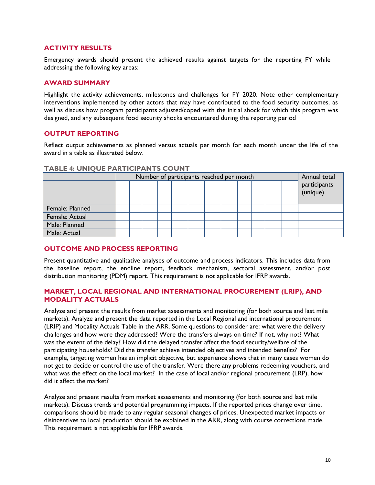### **ACTIVITY RESULTS**

Emergency awards should present the achieved results against targets for the reporting FY while addressing the following key areas:

### **AWARD SUMMARY**

Highlight the activity achievements, milestones and challenges for FY 2020. Note other complementary interventions implemented by other actors that may have contributed to the food security outcomes, as well as discuss how program participants adjusted/coped with the initial shock for which this program was designed, and any subsequent food security shocks encountered during the reporting period

### **OUTPUT REPORTING**

Reflect output achievements as planned versus actuals per month for each month under the life of the award in a table as illustrated below.

|                 | Number of participants reached per month |  |  |  |  |  | Annual total |  |  |                          |
|-----------------|------------------------------------------|--|--|--|--|--|--------------|--|--|--------------------------|
|                 |                                          |  |  |  |  |  |              |  |  | participants<br>(unique) |
| Female: Planned |                                          |  |  |  |  |  |              |  |  |                          |
| Female: Actual  |                                          |  |  |  |  |  |              |  |  |                          |
| Male: Planned   |                                          |  |  |  |  |  |              |  |  |                          |
| Male: Actual    |                                          |  |  |  |  |  |              |  |  |                          |

#### **TABLE 4: UNIQUE PARTICIPANTS COUNT**

### **OUTCOME AND PROCESS REPORTING**

Present quantitative and qualitative analyses of outcome and process indicators. This includes data from the baseline report, the endline report, feedback mechanism, sectoral assessment, and/or post distribution monitoring (PDM) report. This requirement is not applicable for IFRP awards.

### **MARKET, LOCAL REGIONAL AND INTERNATIONAL PROCUREMENT (LRIP), AND MODALITY ACTUALS**

Analyze and present the results from market assessments and monitoring (for both source and last mile markets). Analyze and present the data reported in the Local Regional and international procurement (LRIP) and Modality Actuals Table in the ARR. Some questions to consider are: what were the delivery challenges and how were they addressed? Were the transfers always on time? If not, why not? What was the extent of the delay? How did the delayed transfer affect the food security/welfare of the participating households? Did the transfer achieve intended objectives and intended benefits? For example, targeting women has an implicit objective, but experience shows that in many cases women do not get to decide or control the use of the transfer. Were there any problems redeeming vouchers, and what was the effect on the local market? In the case of local and/or regional procurement (LRP), how did it affect the market?

Analyze and present results from market assessments and monitoring (for both source and last mile markets). Discuss trends and potential programming impacts. If the reported prices change over time, comparisons should be made to any regular seasonal changes of prices. Unexpected market impacts or disincentives to local production should be explained in the ARR, along with course corrections made. This requirement is not applicable for IFRP awards.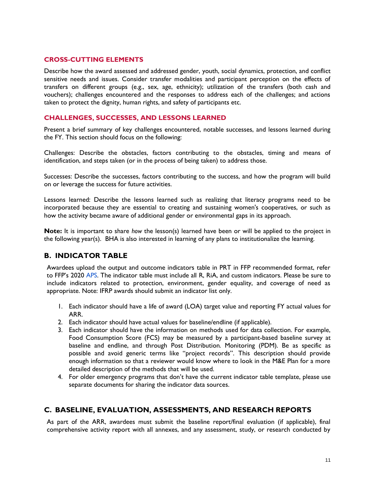### **CROSS-CUTTING ELEMENTS**

Describe how the award assessed and addressed gender, youth, social dynamics, protection, and conflict sensitive needs and issues. Consider transfer modalities and participant perception on the effects of transfers on different groups (e.g., sex, age, ethnicity); utilization of the transfers (both cash and vouchers); challenges encountered and the responses to address each of the challenges; and actions taken to protect the dignity, human rights, and safety of participants etc.

### **CHALLENGES, SUCCESSES, AND LESSONS LEARNED**

Present a brief summary of key challenges encountered, notable successes, and lessons learned during the FY. This section should focus on the following:

Challenges: Describe the obstacles, factors contributing to the obstacles, timing and means of identification, and steps taken (or in the process of being taken) to address those.

Successes: Describe the successes, factors contributing to the success, and how the program will build on or leverage the success for future activities.

Lessons learned: Describe the lessons learned such as realizing that literacy programs need to be incorporated because they are essential to creating and sustaining women's cooperatives, or such as how the activity became aware of additional gender or environmental gaps in its approach.

**Note:** It is important to share *how* the lesson(s) learned have been or will be applied to the project in the following year(s). BHA is also interested in learning of any plans to institutionalize the learning.

### **B. INDICATOR TABLE**

Awardees upload the output and outcome indicators table in PRT in FFP recommended format, refer to FFP's 2020 [APS.](https://www.usaid.gov/documents/fy-2020-international-emergency-food-assistance-annual-program-statement) The indicator table must include all R, RiA, and custom indicators. Please be sure to include indicators related to protection, environment, gender equality, and coverage of need as appropriate. Note: IFRP awards should submit an indicator list only.

- 1. Each indicator should have a life of award (LOA) target value and reporting FY actual values for ARR.
- 2. Each indicator should have actual values for baseline/endline (if applicable).
- 3. Each indicator should have the information on methods used for data collection. For example, Food Consumption Score (FCS) may be measured by a participant-based baseline survey at baseline and endline, and through Post Distribution. Monitoring (PDM). Be as specific as possible and avoid generic terms like "project records". This description should provide enough information so that a reviewer would know where to look in the M&E Plan for a more detailed description of the methods that will be used.
- 4. For older emergency programs that don't have the current indicator table template, please use separate documents for sharing the indicator data sources.

### **C. BASELINE, EVALUATION, ASSESSMENTS, AND RESEARCH REPORTS**

As part of the ARR, awardees must submit the baseline report/final evaluation (if applicable), final comprehensive activity report with all annexes, and any assessment, study, or research conducted by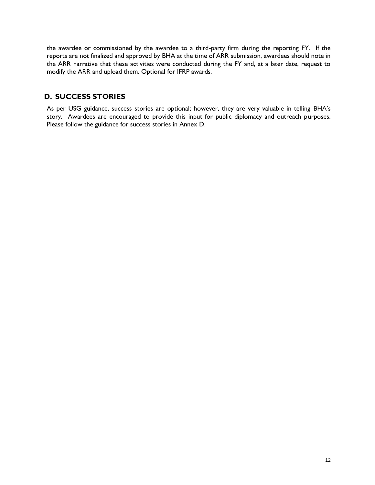the awardee or commissioned by the awardee to a third-party firm during the reporting FY. If the reports are not finalized and approved by BHA at the time of ARR submission, awardees should note in the ARR narrative that these activities were conducted during the FY and, at a later date, request to modify the ARR and upload them. Optional for IFRP awards.

### **D. SUCCESS STORIES**

As per USG guidance, success stories are optional; however, they are very valuable in telling BHA's story. Awardees are encouraged to provide this input for public diplomacy and outreach purposes. Please follow the guidance for success stories in Annex D.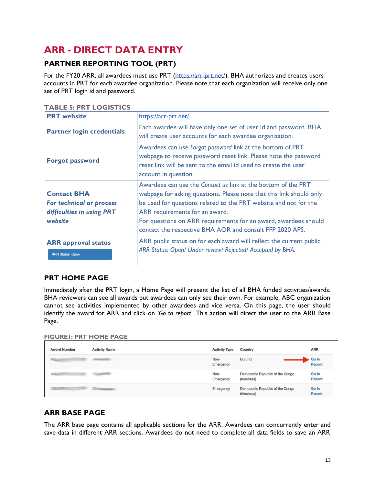## <span id="page-13-0"></span>**ARR - DIRECT DATA ENTRY**

### **PARTNER REPORTING TOOL (PRT)**

For the FY20 ARR, all awardees must use PRT [\(https://arr-prt.net/\)](https://arr-prt.net/). BHA authorizes and creates users accounts in PRT for each awardee organization. Please note that each organization will receive only one set of PRT login id and password.

|  |  | <b>TABLE 5: PRT LOGISTICS</b> |
|--|--|-------------------------------|
|  |  |                               |

| <b>PRT</b> website                                                                     | https://arr-prt.net/                                                                                                                                                                                                                                                                                                                                                              |
|----------------------------------------------------------------------------------------|-----------------------------------------------------------------------------------------------------------------------------------------------------------------------------------------------------------------------------------------------------------------------------------------------------------------------------------------------------------------------------------|
| <b>Partner login credentials</b>                                                       | Each awardee will have only one set of user id and password. BHA<br>will create user accounts for each awardee organization.                                                                                                                                                                                                                                                      |
| <b>Forgot password</b>                                                                 | Awardees can use Forgot password link at the bottom of PRT<br>webpage to receive password reset link. Please note the password<br>reset link will be sent to the email id used to create the user<br>account in question.                                                                                                                                                         |
| <b>Contact BHA</b><br>For technical or process<br>difficulties in using PRT<br>website | Awardees can use the <i>Contact us</i> link at the bottom of the PRT<br>webpage for asking questions. Please note that this link should only<br>be used for questions related to the PRT website and not for the<br>ARR requirements for an award.<br>For questions on ARR requirements for an award, awardees should<br>contact the respective BHA AOR and consult FFP 2020 APS. |
| <b>ARR</b> approval status<br><b>ARR Status: Open</b>                                  | ARR public status on for each award will reflect the current public<br>ARR Status: Open/ Under review/ Rejected/ Accepted by BHA.                                                                                                                                                                                                                                                 |

### **PRT HOME PAGE**

Immediately after the PRT login, a Home Page will present the list of all BHA funded activities/awards. BHA reviewers can see all awards but awardees can only see their own. For example, ABC organization cannot see activities implemented by other awardees and vice versa. On this page, the user should identify the award for ARR and click on *'Go to report'*. This action will direct the user to the ARR Base Page.

**FIGURE1: PRT HOME PAGE**

| <b>Award Number</b> | <b>Activity Name</b> | <b>Activity Type</b> | Country                                        | <b>ARR</b>      |
|---------------------|----------------------|----------------------|------------------------------------------------|-----------------|
|                     |                      | Non-<br>Emergency    | Burundi                                        | Go to<br>Report |
|                     |                      | Non-<br>Emergency    | Democratic Republic of the Congo<br>(Kinshasa) | Go to<br>Report |
| AIRCRAFT COORD      | <b>CONTRACTOR</b>    | Emergency            | Democratic Republic of the Congo<br>(Kinshasa) | Go to<br>Report |

### **ARR BASE PAGE**

The ARR base page contains all applicable sections for the ARR. Awardees can concurrently enter and save data in different ARR sections. Awardees do not need to complete all data fields to save an ARR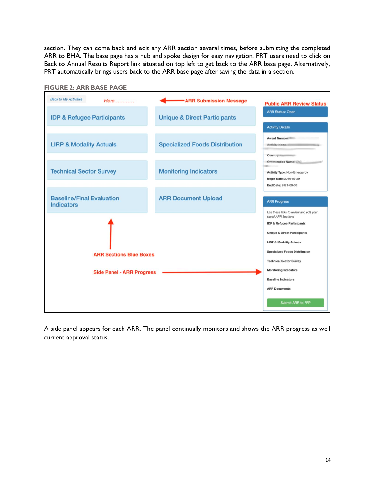section. They can come back and edit any ARR section several times, before submitting the completed ARR to BHA. The base page has a hub and spoke design for easy navigation. PRT users need to click on Back to Annual Results Report link situated on top left to get back to the ARR base page. Alternatively, PRT automatically brings users back to the ARR base page after saving the data in a section.



A side panel appears for each ARR. The panel continually monitors and shows the ARR progress as well current approval status.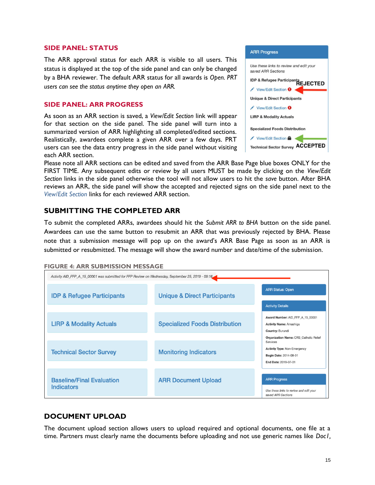#### **SIDE PANEL: STATUS**

The ARR approval status for each ARR is visible to all users. This status is displayed at the top of the side panel and can only be changed by a BHA reviewer. The default ARR status for all awards is *Open. PRT users can see the status anytime they open an ARR.*

### **SIDE PANEL: ARR PROGRESS**

As soon as an ARR section is saved, a *View/Edit Section* link will appear for that section on the side panel. The side panel will turn into a summarized version of ARR highlighting all completed/edited sections. Realistically, awardees complete a given ARR over a few days. PRT users can see the data entry progress in the side panel without visiting each ARR section.

| <b>ARR Progress</b>                                           |
|---------------------------------------------------------------|
| Use these links to review and edit your<br>saved ARR Sections |
| IDP & Refugee Participants<br>REJECTED                        |
| View/Edit Section <sup>9</sup>                                |
| <b>Unique &amp; Direct Participants</b>                       |
| View/Edit Section <sup>9</sup>                                |
| <b>LIRP &amp; Modality Actuals</b>                            |
| <b>Specialized Foods Distribution</b>                         |
| View/Edit Section                                             |
| <b>Technical Sector Survey ACCEPTED</b>                       |

Please note all ARR sections can be edited and saved from the ARR Base Page blue boxes ONLY for the FIRST TIME. Any subsequent edits or review by all users MUST be made by clicking on the *View/Edit Section* links in the side panel otherwise the tool will not allow users to hit the *save* button. After BHA reviews an ARR, the side panel will show the accepted and rejected signs on the side panel next to the *View/Edit Section* links for each reviewed ARR section.

### **SUBMITTING THE COMPLETED ARR**

To submit the completed ARRs, awardees should hit the *Submit ARR to BHA* button on the side panel. Awardees can use the same button to resubmit an ARR that was previously rejected by BHA. Please note that a submission message will pop up on the award's ARR Base Page as soon as an ARR is submitted or resubmitted. The message will show the award number and date/time of the submission.

| <b>FIGURE 4: ARR SUBMISSION MESSAGE</b> |  |  |
|-----------------------------------------|--|--|
|-----------------------------------------|--|--|

| Activity AID_FFP_A_15_00001 was submitted for FFP Review on Wednesday, September 25, 2019 - 09:16 |                                         |                                                                                                                                                |  |  |
|---------------------------------------------------------------------------------------------------|-----------------------------------------|------------------------------------------------------------------------------------------------------------------------------------------------|--|--|
| <b>IDP &amp; Refugee Participants</b>                                                             | <b>Unique &amp; Direct Participants</b> | <b>ARR Status: Open</b>                                                                                                                        |  |  |
|                                                                                                   |                                         | <b>Activity Details</b>                                                                                                                        |  |  |
| <b>LIRP &amp; Modality Actuals</b>                                                                | <b>Specialized Foods Distribution</b>   | Award Number: AID FFP A 15 00001<br><b>Activity Name: Amashiga</b><br><b>Country: Burundi</b><br><b>Organization Name: CRS_Catholic Relief</b> |  |  |
| <b>Technical Sector Survey</b>                                                                    | <b>Monitoring Indicators</b>            | Services<br><b>Activity Type: Non-Emergency</b><br><b>Begin Date: 2014-08-01</b><br>End Date: 2019-07-31                                       |  |  |
| <b>Baseline/Final Evaluation</b><br><b>Indicators</b>                                             | <b>ARR Document Upload</b>              | <b>ARR Progress</b><br>Use these links to review and edit your<br>saved ARR Sections                                                           |  |  |

### **DOCUMENT UPLOAD**

The document upload section allows users to upload required and optional documents, one file at a time. Partners must clearly name the documents before uploading and not use generic names like *Doc1,*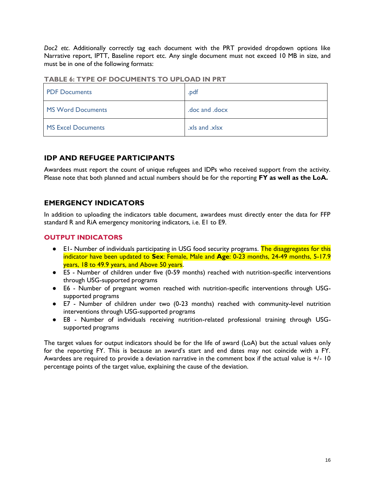*Doc2 etc*. Additionally correctly tag each document with the PRT provided dropdown options like Narrative report, IPTT, Baseline report etc. Any single document must not exceed 10 MB in size, and must be in one of the following formats:

| <b>PDF Documents</b> | .pdf           |
|----------------------|----------------|
| MS Word Documents    | .doc and .docx |
| MS Excel Documents   | xls and xlsx.  |

### **TABLE 6: TYPE OF DOCUMENTS TO UPLOAD IN PRT**

### **IDP AND REFUGEE PARTICIPANTS**

Awardees must report the count of unique refugees and IDPs who received support from the activity. Please note that both planned and actual numbers should be for the reporting **FY as well as the LoA.**

### **EMERGENCY INDICATORS**

In addition to uploading the indicators table document, awardees must directly enter the data for FFP standard R and RiA emergency monitoring indicators, i.e. E1 to E9.

### **OUTPUT INDICATORS**

- E1- Number of individuals participating in USG food security programs. The disaggregates for this indicator have been updated to **Sex**: Female, Male and **Age**: 0-23 months, 24-49 months, 5-17.9 years, 18 to 49.9 years, and Above 50 years.
- E5 Number of children under five (0-59 months) reached with nutrition-specific interventions through USG-supported programs
- E6 Number of pregnant women reached with nutrition-specific interventions through USGsupported programs
- E7 Number of children under two (0-23 months) reached with community-level nutrition interventions through USG-supported programs
- E8 Number of individuals receiving nutrition-related professional training through USGsupported programs

The target values for output indicators should be for the life of award (LoA) but the actual values only for the reporting FY. This is because an award's start and end dates may not coincide with a FY. Awardees are required to provide a deviation narrative in the comment box if the actual value is +/- 10 percentage points of the target value, explaining the cause of the deviation.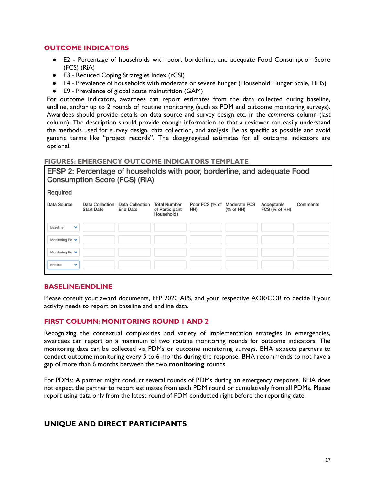### **OUTCOME INDICATORS**

- E2 Percentage of households with poor, borderline, and adequate Food Consumption Score (FCS) (RiA)
- E3 Reduced Coping Strategies Index (rCSI)
- E4 Prevalence of households with moderate or severe hunger (Household Hunger Scale, HHS)
- E9 Prevalence of global acute malnutrition (GAM)

For outcome indicators, awardees can report estimates from the data collected during baseline, endline, and/or up to 2 rounds of routine monitoring (such as PDM and outcome monitoring surveys). Awardees should provide details on data source and survey design etc. in the *comments* column (last column). The description should provide enough information so that a reviewer can easily understand the methods used for survey design, data collection, and analysis. Be as specific as possible and avoid generic terms like "project records". The disaggregated estimates for all outcome indicators are optional.

#### **FIGURE5: EMERGENCY OUTCOME INDICATORS TEMPLATE**

EFSP 2: Percentage of households with poor, borderline, and adequate Food **Consumption Score (FCS) (RiA)** 

| Comments |
|----------|
|          |
|          |
|          |
|          |
|          |

### **BASELINE/ENDLINE**

Please consult your award documents, FFP 2020 APS, and your respective AOR/COR to decide if your activity needs to report on baseline and endline data.

### **FIRST COLUMN: MONITORING ROUND 1 AND 2**

Recognizing the contextual complexities and variety of implementation strategies in emergencies, awardees can report on a maximum of two routine monitoring rounds for outcome indicators. The monitoring data can be collected via PDMs or outcome monitoring surveys. BHA expects partners to conduct outcome monitoring every 5 to 6 months during the response. BHA recommends to not have a gap of more than 6 months between the two **monitoring** rounds.

For PDMs: A partner might conduct several rounds of PDMs during an emergency response. BHA does not expect the partner to report estimates from each PDM round or cumulatively from all PDMs. Please report using data only from the latest round of PDM conducted right before the reporting date.

### **UNIQUE AND DIRECT PARTICIPANTS**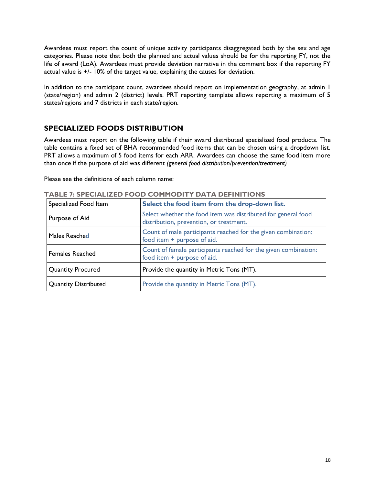Awardees must report the count of unique activity participants disaggregated both by the sex and age categories. Please note that both the planned and actual values should be for the reporting FY, not the life of award (LoA). Awardees must provide deviation narrative in the comment box if the reporting FY actual value is +/- 10% of the target value, explaining the causes for deviation.

In addition to the participant count, awardees should report on implementation geography, at admin I (state/region) and admin 2 (district) levels. PRT reporting template allows reporting a maximum of 5 states/regions and 7 districts in each state/region.

### **SPECIALIZED FOODS DISTRIBUTION**

Awardees must report on the following table if their award distributed specialized food products. The table contains a fixed set of BHA recommended food items that can be chosen using a dropdown list. PRT allows a maximum of 5 food items for each ARR. Awardees can choose the same food item more than once if the purpose of aid was different *(general food distribution/prevention/treatment)*

Please see the definitions of each column name:

| Specialized Food Item       | Select the food item from the drop-down list.                                                            |
|-----------------------------|----------------------------------------------------------------------------------------------------------|
| Purpose of Aid              | Select whether the food item was distributed for general food<br>distribution, prevention, or treatment. |
| Males Reached               | Count of male participants reached for the given combination:<br>food item + purpose of aid.             |
| <b>Females Reached</b>      | Count of female participants reached for the given combination:<br>food item + purpose of aid.           |
| <b>Quantity Procured</b>    | Provide the quantity in Metric Tons (MT).                                                                |
| <b>Quantity Distributed</b> | Provide the quantity in Metric Tons (MT).                                                                |

**TABLE 7: SPECIALIZED FOOD COMMODITY DATA DEFINITIONS**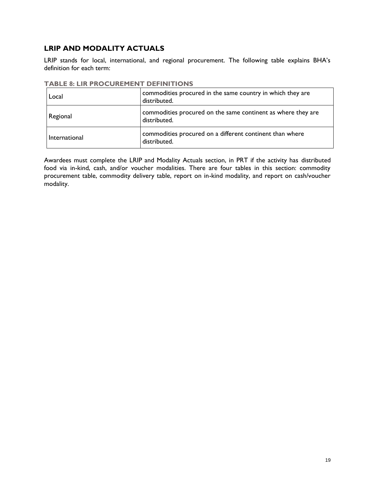### **LRIP AND MODALITY ACTUALS**

LRIP stands for local, international, and regional procurement. The following table explains BHA's definition for each term:

| Local         | commodities procured in the same country in which they are<br>distributed.   |
|---------------|------------------------------------------------------------------------------|
| Regional      | commodities procured on the same continent as where they are<br>distributed. |
| International | commodities procured on a different continent than where<br>distributed.     |

#### **TABLE 8: LIR PROCUREMENT DEFINITIONS**

Awardees must complete the LRIP and Modality Actuals section, in PRT if the activity has distributed food via in-kind, cash, and/or voucher modalities. There are four tables in this section: commodity procurement table, commodity delivery table, report on in-kind modality, and report on cash/voucher modality.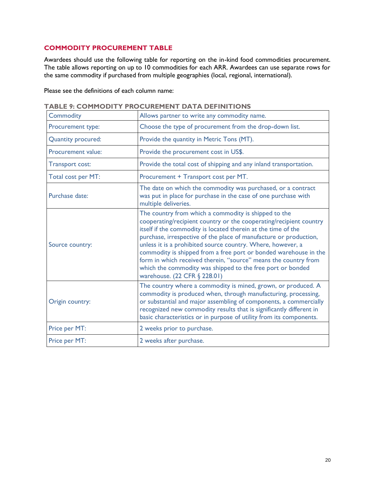### **COMMODITY PROCUREMENT TABLE**

Awardees should use the following table for reporting on the in-kind food commodities procurement. The table allows reporting on up to 10 commodities for each ARR. Awardees can use separate rows for the same commodity if purchased from multiple geographies (local, regional, international).

Please see the definitions of each column name:

| <b>Commodity</b>          | Allows partner to write any commodity name.                                                                                                                                                                                                                                                                                                                                                                                                                                                                                                                          |
|---------------------------|----------------------------------------------------------------------------------------------------------------------------------------------------------------------------------------------------------------------------------------------------------------------------------------------------------------------------------------------------------------------------------------------------------------------------------------------------------------------------------------------------------------------------------------------------------------------|
| Procurement type:         | Choose the type of procurement from the drop-down list.                                                                                                                                                                                                                                                                                                                                                                                                                                                                                                              |
| <b>Quantity procured:</b> | Provide the quantity in Metric Tons (MT).                                                                                                                                                                                                                                                                                                                                                                                                                                                                                                                            |
| Procurement value:        | Provide the procurement cost in US\$.                                                                                                                                                                                                                                                                                                                                                                                                                                                                                                                                |
| Transport cost:           | Provide the total cost of shipping and any inland transportation.                                                                                                                                                                                                                                                                                                                                                                                                                                                                                                    |
| Total cost per MT:        | Procurement + Transport cost per MT.                                                                                                                                                                                                                                                                                                                                                                                                                                                                                                                                 |
| Purchase date:            | The date on which the commodity was purchased, or a contract<br>was put in place for purchase in the case of one purchase with<br>multiple deliveries.                                                                                                                                                                                                                                                                                                                                                                                                               |
| Source country:           | The country from which a commodity is shipped to the<br>cooperating/recipient country or the cooperating/recipient country<br>itself if the commodity is located therein at the time of the<br>purchase, irrespective of the place of manufacture or production,<br>unless it is a prohibited source country. Where, however, a<br>commodity is shipped from a free port or bonded warehouse in the<br>form in which received therein, "source" means the country from<br>which the commodity was shipped to the free port or bonded<br>warehouse. (22 CFR § 228.01) |
| Origin country:           | The country where a commodity is mined, grown, or produced. A<br>commodity is produced when, through manufacturing, processing,<br>or substantial and major assembling of components, a commercially<br>recognized new commodity results that is significantly different in<br>basic characteristics or in purpose of utility from its components.                                                                                                                                                                                                                   |
| Price per MT:             | 2 weeks prior to purchase.                                                                                                                                                                                                                                                                                                                                                                                                                                                                                                                                           |
| Price per MT:             | 2 weeks after purchase.                                                                                                                                                                                                                                                                                                                                                                                                                                                                                                                                              |

**TABLE 9: COMMODITY PROCUREMENT DATA DEFINITIONS**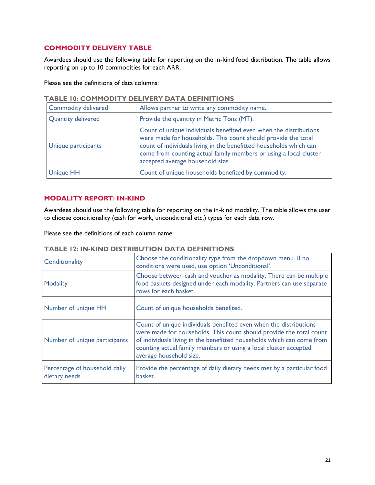### **COMMODITY DELIVERY TABLE**

Awardees should use the following table for reporting on the in-kind food distribution. The table allows reporting on up to 10 commodities for each ARR.

Please see the definitions of data columns:

| TABLE TV: COMMODITT DELIVERT DATA DEFINITIONS |                                                                                                                                                                                                                                                                                                                   |  |  |  |
|-----------------------------------------------|-------------------------------------------------------------------------------------------------------------------------------------------------------------------------------------------------------------------------------------------------------------------------------------------------------------------|--|--|--|
| <b>Commodity delivered</b>                    | Allows partner to write any commodity name.                                                                                                                                                                                                                                                                       |  |  |  |
| <b>Quantity delivered</b>                     | Provide the quantity in Metric Tons (MT).                                                                                                                                                                                                                                                                         |  |  |  |
| Unique participants                           | Count of unique individuals benefited even when the distributions<br>were made for households. This count should provide the total<br>count of individuals living in the benefitted households which can<br>come from counting actual family members or using a local cluster<br>accepted average household size. |  |  |  |
| <b>Unique HH</b>                              | Count of unique households benefited by commodity.                                                                                                                                                                                                                                                                |  |  |  |

### **TABLE 10: COMMODITY DELIVERY DATA DEFINITIONS**

### **MODALITY REPORT: IN-KIND**

Awardees should use the following table for reporting on the in-kind modality. The table allows the user to choose conditionality (cash for work, unconditional etc.) types for each data row.

Please see the definitions of each column name:

| Conditionality                                 | Choose the conditionality type from the dropdown menu. If no<br>conditions were used, use option 'Unconditional'.                                                                                                                                                                                                 |
|------------------------------------------------|-------------------------------------------------------------------------------------------------------------------------------------------------------------------------------------------------------------------------------------------------------------------------------------------------------------------|
| Modality                                       | Choose between cash and voucher as modality. There can be multiple<br>food baskets designed under each modality. Partners can use separate<br>rows for each basket.                                                                                                                                               |
| Number of unique HH                            | Count of unique households benefited.                                                                                                                                                                                                                                                                             |
| Number of unique participants                  | Count of unique individuals benefited even when the distributions<br>were made for households. This count should provide the total count<br>of individuals living in the benefitted households which can come from<br>counting actual family members or using a local cluster accepted<br>average household size. |
| Percentage of household daily<br>dietary needs | Provide the percentage of daily dietary needs met by a particular food<br>basket.                                                                                                                                                                                                                                 |

### **TABLE 12: IN-KIND DISTRIBUTION DATA DEFINITIONS**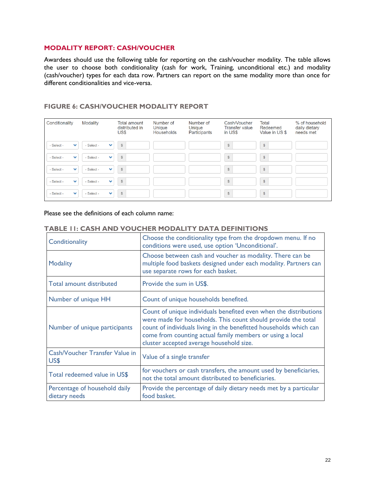### **MODALITY REPORT: CASH/VOUCHER**

Awardees should use the following table for reporting on the cash/voucher modality. The table allows the user to choose both conditionality (cash for work, Training, unconditional etc.) and modality (cash/voucher) types for each data row. Partners can report on the same modality more than once for different conditionalities and vice-versa.

### **FIGURE 6: CASH/VOUCHER MODALITY REPORT**

| Conditionality             | <b>Modality</b>            | <b>Total amount</b><br>distributed in<br>US\$ | Number of<br><b>Unique</b><br>Households | Number of<br>Unique<br>Participants | Cash/Voucher<br><b>Transfer value</b><br>in US\$ | Total<br>Redeemed<br>Value in US \$ | % of household<br>daily dietary<br>needs met |
|----------------------------|----------------------------|-----------------------------------------------|------------------------------------------|-------------------------------------|--------------------------------------------------|-------------------------------------|----------------------------------------------|
| - Select -<br>$\checkmark$ | - Select -<br>$\checkmark$ | $\mathbb{S}$                                  |                                          |                                     | $$\mathbb{S}$$                                   | $\mathbb{S}$                        |                                              |
| - Select -<br>$\checkmark$ | - Select -<br>$\checkmark$ | $\mathbb{S}$                                  |                                          |                                     | \$                                               | \$                                  |                                              |
| - Select -<br>$\checkmark$ | - Select -<br>$\checkmark$ | $\mathbb{S}$                                  |                                          |                                     | $\mathbb{S}$                                     | $\$$                                |                                              |
| - Select -<br>$\checkmark$ | - Select -<br>$\checkmark$ | $\mathbb{S}$                                  |                                          |                                     | $$\mathbb{S}$$                                   | $\mathbb{S}$                        |                                              |
| - Select -<br>$\checkmark$ | - Select -<br>$\checkmark$ | $\mathbb{S}$                                  |                                          |                                     | $$\$                                             | \$                                  |                                              |

Please see the definitions of each column name:

<span id="page-22-0"></span>

| Conditionality                                 | Choose the conditionality type from the dropdown menu. If no<br>conditions were used, use option 'Unconditional'.                                                                                                                                                                                                 |
|------------------------------------------------|-------------------------------------------------------------------------------------------------------------------------------------------------------------------------------------------------------------------------------------------------------------------------------------------------------------------|
| <b>Modality</b>                                | Choose between cash and voucher as modality. There can be<br>multiple food baskets designed under each modality. Partners can<br>use separate rows for each basket.                                                                                                                                               |
| Total amount distributed                       | Provide the sum in US\$.                                                                                                                                                                                                                                                                                          |
| Number of unique HH                            | Count of unique households benefited.                                                                                                                                                                                                                                                                             |
| Number of unique participants                  | Count of unique individuals benefited even when the distributions<br>were made for households. This count should provide the total<br>count of individuals living in the benefitted households which can<br>come from counting actual family members or using a local<br>cluster accepted average household size. |
| Cash/Voucher Transfer Value in<br>US\$         | Value of a single transfer                                                                                                                                                                                                                                                                                        |
| Total redeemed value in US\$                   | for vouchers or cash transfers, the amount used by beneficiaries,<br>not the total amount distributed to beneficiaries.                                                                                                                                                                                           |
| Percentage of household daily<br>dietary needs | Provide the percentage of daily dietary needs met by a particular<br>food basket.                                                                                                                                                                                                                                 |

#### **TABLE 11: CASH AND VOUCHER MODALITY DATA DEFINITIONS**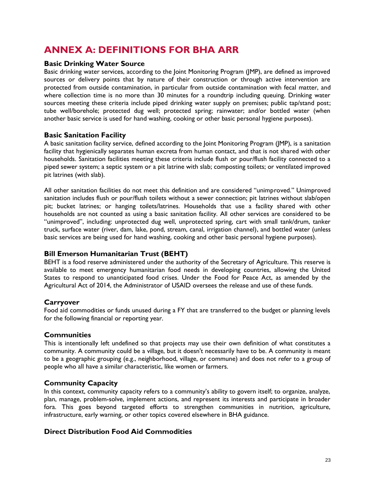## **ANNEX A: DEFINITIONS FOR BHA ARR**

### **Basic Drinking Water Source**

Basic drinking water services, according to the Joint Monitoring Program (JMP), are defined as improved sources or delivery points that by nature of their construction or through active intervention are protected from outside contamination, in particular from outside contamination with fecal matter, and where collection time is no more than 30 minutes for a roundtrip including queuing. Drinking water sources meeting these criteria include piped drinking water supply on premises; public tap/stand post; tube well/borehole; protected dug well; protected spring; rainwater; and/or bottled water (when another basic service is used for hand washing, cooking or other basic personal hygiene purposes).

### **Basic Sanitation Facility**

A basic sanitation facility service, defined according to the Joint Monitoring Program (JMP), is a sanitation facility that hygienically separates human excreta from human contact, and that is not shared with other households. Sanitation facilities meeting these criteria include flush or pour/flush facility connected to a piped sewer system; a septic system or a pit latrine with slab; composting toilets; or ventilated improved pit latrines (with slab).

All other sanitation facilities do not meet this definition and are considered "unimproved." Unimproved sanitation includes flush or pour/flush toilets without a sewer connection; pit latrines without slab/open pit; bucket latrines; or hanging toilets/latrines. Households that use a facility shared with other households are not counted as using a basic sanitation facility. All other services are considered to be "unimproved", including: unprotected dug well, unprotected spring, cart with small tank/drum, tanker truck, surface water (river, dam, lake, pond, stream, canal, irrigation channel), and bottled water (unless basic services are being used for hand washing, cooking and other basic personal hygiene purposes).

### **Bill Emerson Humanitarian Trust (BEHT)**

BEHT is a food reserve administered under the authority of the Secretary of Agriculture. This reserve is available to meet emergency humanitarian food needs in developing countries, allowing the United States to respond to unanticipated food crises. Under the Food for Peace Act, as amended by the Agricultural Act of 2014, the Administrator of USAID oversees the release and use of these funds.

### **Carryover**

Food aid commodities or funds unused during a FY that are transferred to the budget or planning levels for the following financial or reporting year.

### **Communities**

This is intentionally left undefined so that projects may use their own definition of what constitutes a community. A community could be a village, but it doesn't necessarily have to be. A community is meant to be a geographic grouping (e.g., neighborhood, village, or commune) and does not refer to a group of people who all have a similar characteristic, like women or farmers.

### **Community Capacity**

In this context, community capacity refers to a community's ability to govern itself; to organize, analyze, plan, manage, problem-solve, implement actions, and represent its interests and participate in broader fora. This goes beyond targeted efforts to strengthen communities in nutrition, agriculture, infrastructure, early warning, or other topics covered elsewhere in BHA guidance.

### **Direct Distribution Food Aid Commodities**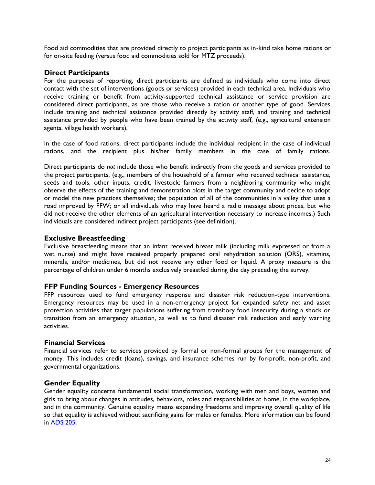Food aid commodities that are provided directly to project participants as in-kind take home rations or for on-site feeding (versus food aid commodities sold for MTZ proceeds).

### **Direct Participants**

For the purposes of reporting, direct participants are defined as individuals who come into direct contact with the set of interventions (goods or services) provided in each technical area. Individuals who receive training or benefit from activity-supported technical assistance or service provision are considered direct participants, as are those who receive a ration or another type of good. Services include training and technical assistance provided directly by activity staff, and training and technical assistance provided by people who have been trained by the activity staff*,* (e.g., agricultural extension agents, village health workers).

In the case of food rations, direct participants include the individual recipient in the case of individual rations, and the recipient plus his/her family members in the case of family rations.

Direct participants do *not* include those who benefit indirectly from the goods and services provided to the project participants, (e.g., members of the household of a farmer who received technical assistance, seeds and tools, other inputs, credit, livestock; farmers from a neighboring community who might observe the effects of the training and demonstration plots in the target community and decide to adopt or model the new practices themselves; the population of all of the communities in a valley that uses a road improved by FFW; or all individuals who may have heard a radio message about prices, but who did not receive the other elements of an agricultural intervention necessary to increase incomes.) Such individuals are considered indirect project participants (see definition)*.* 

### **Exclusive Breastfeeding**

Exclusive breastfeeding means that an infant received breast milk (including milk expressed or from a wet nurse) and might have received properly prepared oral rehydration solution (ORS), vitamins, minerals, and/or medicines, but did not receive any other food or liquid. A proxy measure is the percentage of children under 6 months exclusively breastfed during the day preceding the survey.

### **FFP Funding Sources - Emergency Resources**

FFP resources used to fund emergency response and disaster risk reduction-type interventions. Emergency resources may be used in a non-emergency project for expanded safety net and asset protection activities that target populations suffering from transitory food insecurity during a shock or transition from an emergency situation, as well as to fund disaster risk reduction and early warning activities.

### **Financial Services**

Financial services refer to services provided by formal or non-formal groups for the management of money. This includes credit (loans), savings, and insurance schemes run by for-profit, non-profit, and governmental organizations.

### **Gender Equality**

Gender equality concerns fundamental social transformation, working with men and boys, women and girls to bring about changes in attitudes, behaviors, roles and responsibilities at home, in the workplace, and in the community. Genuine equality means expanding freedoms and improving overall quality of life so that equality is achieved without sacrificing gains for males or females. More information can be found in ADS 205.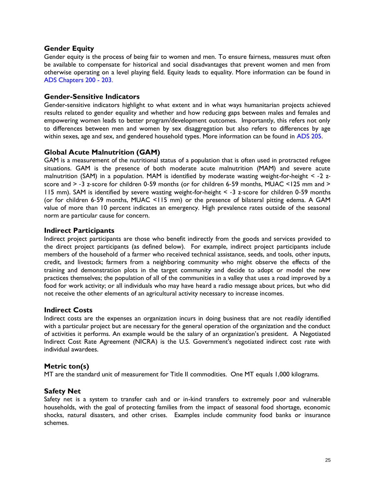### **Gender Equity**

Gender equity is the process of being fair to women and men. To ensure fairness, measures must often be available to compensate for historical and social disadvantages that prevent women and men from otherwise operating on a level playing field. Equity leads to equality. More information can be found in ADS Chapters 200 - [203.](https://www.usaid.gov/who-we-are/agency-policy/series-200)

### **Gender-Sensitive Indicators**

Gender-sensitive indicators highlight to what extent and in what ways humanitarian projects achieved results related to gender equality and whether and how reducing gaps between males and females and empowering women leads to better program/development outcomes. Importantly, this refers not only to differences between men and women by sex disaggregation but also refers to differences by age within sexes, age and sex, and gendered household types. More information can be found in ADS 205.

### **Global Acute Malnutrition (GAM)**

GAM is a measurement of the nutritional status of a population that is often used in protracted refugee situations. GAM is the presence of both moderate acute malnutrition (MAM) and severe acute malnutrition (SAM) in a population. MAM is identified by moderate wasting weight-for-height < -2 zscore and > -3 z-score for children 0-59 months (or for children 6-59 months, MUAC <125 mm and > 115 mm). SAM is identified by severe wasting weight-for-height < ‐3 z‐score for children 0‐59 months (or for children 6‐59 months, MUAC <115 mm) or the presence of bilateral pitting edema. A GAM value of more than 10 percent indicates an emergency. High prevalence rates outside of the seasonal norm are particular cause for concern.

### **Indirect Participants**

Indirect project participants are those who benefit indirectly from the goods and services provided to the direct project participants (as defined below). For example, indirect project participants include members of the household of a farmer who received technical assistance, seeds, and tools, other inputs, credit, and livestock; farmers from a neighboring community who might observe the effects of the training and demonstration plots in the target community and decide to adopt or model the new practices themselves; the population of all of the communities in a valley that uses a road improved by a food for work activity; or all individuals who may have heard a radio message about prices, but who did not receive the other elements of an agricultural activity necessary to increase incomes.

### **Indirect Costs**

Indirect costs are the expenses an organization incurs in doing business that are not readily identified with a particular project but are necessary for the general operation of the organization and the conduct of activities it performs. An example would be the salary of an organization's president. A Negotiated Indirect Cost Rate Agreement (NICRA) is the U.S. Government's negotiated indirect cost rate with individual awardees.

### **Metric ton(s)**

MT are the standard unit of measurement for Title II commodities. One MT equals 1,000 kilograms.

### **Safety Net**

Safety net is a system to transfer cash and or in-kind transfers to extremely poor and vulnerable households, with the goal of protecting families from the impact of seasonal food shortage, economic shocks, natural disasters, and other crises. Examples include community food banks or insurance schemes.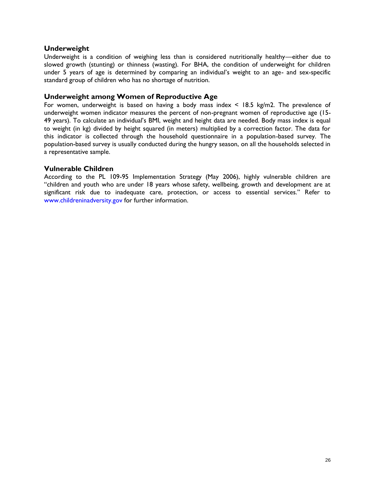### **Underweight**

Underweight is a condition of weighing less than is considered nutritionally healthy—either due to slowed growth (stunting) or thinness (wasting). For BHA, the condition of underweight for children under 5 years of age is determined by comparing an individual's weight to an age- and sex-specific standard group of children who has no shortage of nutrition.

### **Underweight among Women of Reproductive Age**

For women, underweight is based on having a body mass index < 18.5 kg/m2. The prevalence of underweight women indicator measures the percent of non-pregnant women of reproductive age (15- 49 years). To calculate an individual's BMI, weight and height data are needed. Body mass index is equal to weight (in kg) divided by height squared (in meters) multiplied by a correction factor. The data for this indicator is collected through the household questionnaire in a population-based survey. The population-based survey is usually conducted during the hungry season, on all the households selected in a representative sample.

### **Vulnerable Children**

<span id="page-26-0"></span>According to the PL 109-95 Implementation Strategy (May 2006), highly vulnerable children are "children and youth who are under 18 years whose safety, wellbeing, growth and development are at significant risk due to inadequate care, protection, or access to essential services." Refer to [www.childreninadversity.gov](http://www.childreninadversity.gov/) for further information.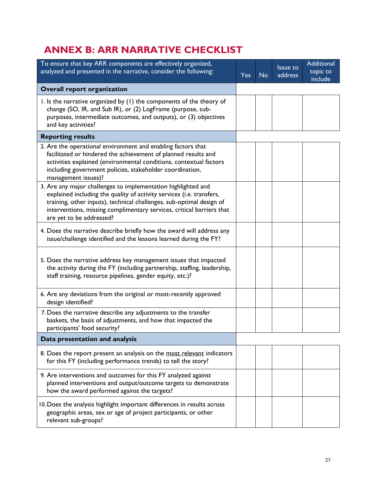## **ANNEX B: ARR NARRATIVE CHECKLIST**

| To ensure that key ARR components are effectively organized,<br>analyzed and presented in the narrative, consider the following:                                                                                                                                                                                    | <b>Yes</b> | <b>No</b> | <b>Issue to</b><br>address | <b>Additional</b><br>topic to<br>include |
|---------------------------------------------------------------------------------------------------------------------------------------------------------------------------------------------------------------------------------------------------------------------------------------------------------------------|------------|-----------|----------------------------|------------------------------------------|
| <b>Overall report organization</b>                                                                                                                                                                                                                                                                                  |            |           |                            |                                          |
| I. Is the narrative organized by (I) the components of the theory of<br>change (SO, IR, and Sub IR), or (2) LogFrame (purpose, sub-<br>purposes, intermediate outcomes, and outputs), or (3) objectives<br>and key activities?                                                                                      |            |           |                            |                                          |
| <b>Reporting results</b>                                                                                                                                                                                                                                                                                            |            |           |                            |                                          |
| 2. Are the operational environment and enabling factors that<br>facilitated or hindered the achievement of planned results and<br>activities explained (environmental conditions, contextual factors<br>including government policies, stakeholder coordination,<br>management issues)?                             |            |           |                            |                                          |
| 3. Are any major challenges to implementation highlighted and<br>explained including the quality of activity services (i.e. transfers,<br>training, other inputs), technical challenges, sub-optimal design of<br>interventions, missing complimentary services, critical barriers that<br>are yet to be addressed? |            |           |                            |                                          |
| 4. Does the narrative describe briefly how the award will address any<br>issue/challenge identified and the lessons learned during the FY?                                                                                                                                                                          |            |           |                            |                                          |
| 5. Does the narrative address key management issues that impacted<br>the activity during the FY (including partnership, staffing, leadership,<br>staff training, resource pipelines, gender equity, etc.)?                                                                                                          |            |           |                            |                                          |
| 6. Are any deviations from the original or most-recently approved<br>design identified?                                                                                                                                                                                                                             |            |           |                            |                                          |
| 7. Does the narrative describe any adjustments to the transfer<br>baskets, the basis of adjustments, and how that impacted the<br>participants' food security?                                                                                                                                                      |            |           |                            |                                          |
| Data presentation and analysis                                                                                                                                                                                                                                                                                      |            |           |                            |                                          |
| 8. Does the report present an analysis on the most relevant indicators<br>for this FY (including performance trends) to tell the story?                                                                                                                                                                             |            |           |                            |                                          |
| 9. Are interventions and outcomes for this FY analyzed against<br>planned interventions and output/outcome targets to demonstrate<br>how the award performed against the targets?                                                                                                                                   |            |           |                            |                                          |
| 10. Does the analysis highlight important differences in results across<br>geographic areas, sex or age of project participants, or other<br>relevant sub-groups?                                                                                                                                                   |            |           |                            |                                          |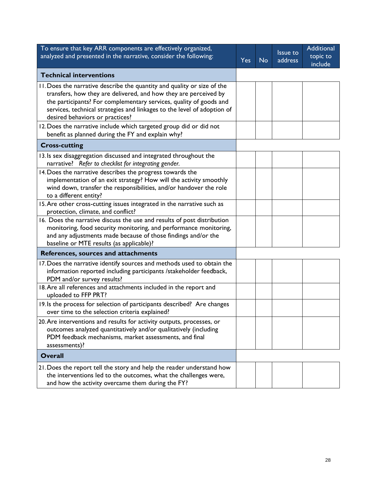<span id="page-28-0"></span>

| To ensure that key ARR components are effectively organized,<br>analyzed and presented in the narrative, consider the following:                                                                                                                                                                                                | <b>Yes</b> | <b>No</b> | Issue to<br>address | Additional<br>topic to<br>include |
|---------------------------------------------------------------------------------------------------------------------------------------------------------------------------------------------------------------------------------------------------------------------------------------------------------------------------------|------------|-----------|---------------------|-----------------------------------|
| <b>Technical interventions</b>                                                                                                                                                                                                                                                                                                  |            |           |                     |                                   |
| 11. Does the narrative describe the quantity and quality or size of the<br>transfers, how they are delivered, and how they are perceived by<br>the participants? For complementary services, quality of goods and<br>services, technical strategies and linkages to the level of adoption of<br>desired behaviors or practices? |            |           |                     |                                   |
| 12. Does the narrative include which targeted group did or did not<br>benefit as planned during the FY and explain why?                                                                                                                                                                                                         |            |           |                     |                                   |
| <b>Cross-cutting</b>                                                                                                                                                                                                                                                                                                            |            |           |                     |                                   |
| 13. Is sex disaggregation discussed and integrated throughout the<br>narrative? Refer to checklist for integrating gender.                                                                                                                                                                                                      |            |           |                     |                                   |
| 14. Does the narrative describes the progress towards the<br>implementation of an exit strategy? How will the activity smoothly<br>wind down, transfer the responsibilities, and/or handover the role<br>to a different entity?                                                                                                 |            |           |                     |                                   |
| 15. Are other cross-cutting issues integrated in the narrative such as<br>protection, climate, and conflict?                                                                                                                                                                                                                    |            |           |                     |                                   |
| 16. Does the narrative discuss the use and results of post distribution<br>monitoring, food security monitoring, and performance monitoring,<br>and any adjustments made because of those findings and/or the<br>baseline or MTE results (as applicable)?                                                                       |            |           |                     |                                   |
| References, sources and attachments                                                                                                                                                                                                                                                                                             |            |           |                     |                                   |
| 17. Does the narrative identify sources and methods used to obtain the<br>information reported including participants /stakeholder feedback,<br>PDM and/or survey results?                                                                                                                                                      |            |           |                     |                                   |
| 18. Are all references and attachments included in the report and<br>uploaded to FFP PRT?                                                                                                                                                                                                                                       |            |           |                     |                                   |
| 19. Is the process for selection of participants described? Are changes<br>over time to the selection criteria explained?                                                                                                                                                                                                       |            |           |                     |                                   |
| 20. Are interventions and results for activity outputs, processes, or<br>outcomes analyzed quantitatively and/or qualitatively (including<br>PDM feedback mechanisms, market assessments, and final<br>assessments)?                                                                                                            |            |           |                     |                                   |
| <b>Overall</b>                                                                                                                                                                                                                                                                                                                  |            |           |                     |                                   |
| 21. Does the report tell the story and help the reader understand how<br>the interventions led to the outcomes, what the challenges were,<br>and how the activity overcame them during the FY?                                                                                                                                  |            |           |                     |                                   |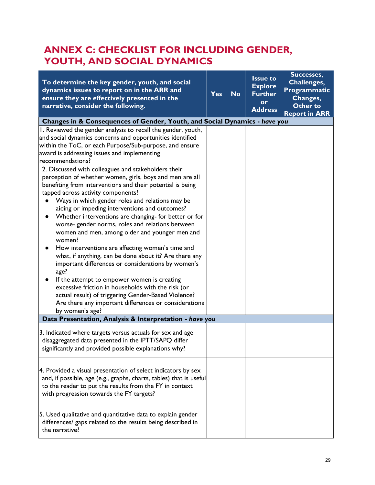## **ANNEX C: CHECKLIST FOR INCLUDING GENDER, YOUTH, AND SOCIAL DYNAMICS**

| To determine the key gender, youth, and social<br>dynamics issues to report on in the ARR and<br>ensure they are effectively presented in the<br>narrative, consider the following.                                                                                                                                                                                                                                                                                                                                                                                                                                                                                                                                                                                                                                                                            | <b>Yes</b> | <b>No</b> | <b>Issue to</b><br><b>Explore</b><br><b>Further</b><br>or<br><b>Address</b> | Successes,<br>Challenges,<br>Programmatic<br>Changes,<br>Other to<br><b>Report in ARR</b> |  |
|----------------------------------------------------------------------------------------------------------------------------------------------------------------------------------------------------------------------------------------------------------------------------------------------------------------------------------------------------------------------------------------------------------------------------------------------------------------------------------------------------------------------------------------------------------------------------------------------------------------------------------------------------------------------------------------------------------------------------------------------------------------------------------------------------------------------------------------------------------------|------------|-----------|-----------------------------------------------------------------------------|-------------------------------------------------------------------------------------------|--|
| Changes in & Consequences of Gender, Youth, and Social Dynamics - have you                                                                                                                                                                                                                                                                                                                                                                                                                                                                                                                                                                                                                                                                                                                                                                                     |            |           |                                                                             |                                                                                           |  |
| I. Reviewed the gender analysis to recall the gender, youth,<br>and social dynamics concerns and opportunities identified<br>within the ToC, or each Purpose/Sub-purpose, and ensure<br>award is addressing issues and implementing<br>recommendations?<br>2. Discussed with colleagues and stakeholders their                                                                                                                                                                                                                                                                                                                                                                                                                                                                                                                                                 |            |           |                                                                             |                                                                                           |  |
| perception of whether women, girls, boys and men are all<br>benefiting from interventions and their potential is being<br>tapped across activity components?<br>Ways in which gender roles and relations may be<br>aiding or impeding interventions and outcomes?<br>Whether interventions are changing- for better or for<br>worse- gender norms, roles and relations between<br>women and men, among older and younger men and<br>women?<br>How interventions are affecting women's time and<br>what, if anything, can be done about it? Are there any<br>important differences or considerations by women's<br>age?<br>If the attempt to empower women is creating<br>excessive friction in households with the risk (or<br>actual result) of triggering Gender-Based Violence?<br>Are there any important differences or considerations<br>by women's age? |            |           |                                                                             |                                                                                           |  |
| Data Presentation, Analysis & Interpretation - have you                                                                                                                                                                                                                                                                                                                                                                                                                                                                                                                                                                                                                                                                                                                                                                                                        |            |           |                                                                             |                                                                                           |  |
| 3. Indicated where targets versus actuals for sex and age<br>disaggregated data presented in the IPTT/SAPQ differ<br>significantly and provided possible explanations why?                                                                                                                                                                                                                                                                                                                                                                                                                                                                                                                                                                                                                                                                                     |            |           |                                                                             |                                                                                           |  |
| 4. Provided a visual presentation of select indicators by sex<br>and, if possible, age (e.g., graphs, charts, tables) that is useful<br>to the reader to put the results from the FY in context<br>with progression towards the FY targets?                                                                                                                                                                                                                                                                                                                                                                                                                                                                                                                                                                                                                    |            |           |                                                                             |                                                                                           |  |
| 5. Used qualitative and quantitative data to explain gender<br>differences/ gaps related to the results being described in<br>the narrative?                                                                                                                                                                                                                                                                                                                                                                                                                                                                                                                                                                                                                                                                                                                   |            |           |                                                                             |                                                                                           |  |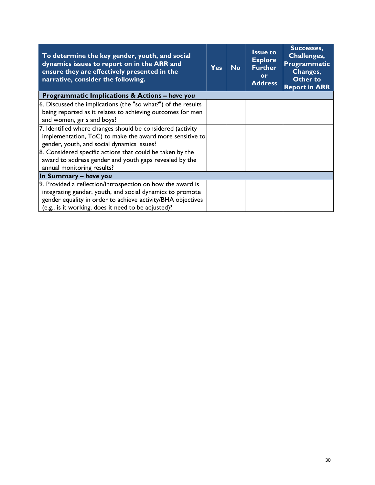| To determine the key gender, youth, and social<br>dynamics issues to report on in the ARR and<br>ensure they are effectively presented in the<br>narrative, consider the following. | <b>Yes</b> | <b>No</b> | <b>Issue to</b><br><b>Explore</b><br><b>Further</b><br><b>or</b><br><b>Address</b> | Successes,<br>Challenges,<br>Programmatic<br>Changes,<br>Other to<br><b>Report in ARR</b> |
|-------------------------------------------------------------------------------------------------------------------------------------------------------------------------------------|------------|-----------|------------------------------------------------------------------------------------|-------------------------------------------------------------------------------------------|
| Programmatic Implications & Actions - have you                                                                                                                                      |            |           |                                                                                    |                                                                                           |
| 6. Discussed the implications (the "so what?") of the results                                                                                                                       |            |           |                                                                                    |                                                                                           |
| being reported as it relates to achieving outcomes for men                                                                                                                          |            |           |                                                                                    |                                                                                           |
| and women, girls and boys?                                                                                                                                                          |            |           |                                                                                    |                                                                                           |
| 7. Identified where changes should be considered (activity                                                                                                                          |            |           |                                                                                    |                                                                                           |
| implementation, ToC) to make the award more sensitive to                                                                                                                            |            |           |                                                                                    |                                                                                           |
| gender, youth, and social dynamics issues?                                                                                                                                          |            |           |                                                                                    |                                                                                           |
| 8. Considered specific actions that could be taken by the                                                                                                                           |            |           |                                                                                    |                                                                                           |
| award to address gender and youth gaps revealed by the                                                                                                                              |            |           |                                                                                    |                                                                                           |
| annual monitoring results?                                                                                                                                                          |            |           |                                                                                    |                                                                                           |
| In Summary - have you                                                                                                                                                               |            |           |                                                                                    |                                                                                           |
| 9. Provided a reflection/introspection on how the award is                                                                                                                          |            |           |                                                                                    |                                                                                           |
| integrating gender, youth, and social dynamics to promote                                                                                                                           |            |           |                                                                                    |                                                                                           |
| gender equality in order to achieve activity/BHA objectives                                                                                                                         |            |           |                                                                                    |                                                                                           |
| (e.g., is it working, does it need to be adjusted)?                                                                                                                                 |            |           |                                                                                    |                                                                                           |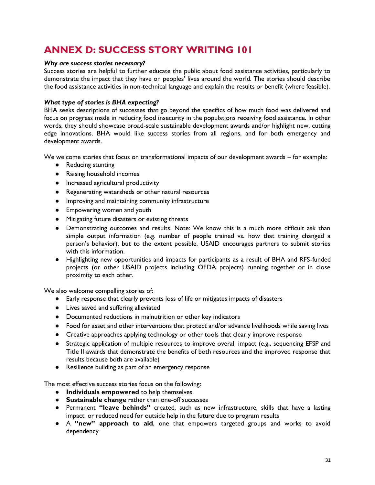## <span id="page-31-0"></span>**ANNEX D: SUCCESS STORY WRITING 101**

### *Why are success stories necessary?*

Success stories are helpful to further educate the public about food assistance activities, particularly to demonstrate the impact that they have on peoples' lives around the world. The stories should describe the food assistance activities in non-technical language and explain the results or benefit (where feasible).

### *What type of stories is BHA expecting?*

BHA seeks descriptions of successes that go beyond the specifics of how much food was delivered and focus on progress made in reducing food insecurity in the populations receiving food assistance. In other words, they should showcase broad-scale sustainable development awards and/or highlight new, cutting edge innovations. BHA would like success stories from all regions, and for both emergency and development awards.

We welcome stories that focus on transformational impacts of our development awards – for example:

- Reducing stunting
- Raising household incomes
- Increased agricultural productivity
- Regenerating watersheds or other natural resources
- Improving and maintaining community infrastructure
- Empowering women and youth
- Mitigating future disasters or existing threats
- Demonstrating outcomes and results. Note: We know this is a much more difficult ask than simple output information (e.g. number of people trained vs. how that training changed a person's behavior), but to the extent possible, USAID encourages partners to submit stories with this information.
- Highlighting new opportunities and impacts for participants as a result of BHA and RFS-funded projects (or other USAID projects including OFDA projects) running together or in close proximity to each other.

We also welcome compelling stories of:

- Early response that clearly prevents loss of life or mitigates impacts of disasters
- Lives saved and suffering alleviated
- Documented reductions in malnutrition or other key indicators
- Food for asset and other interventions that protect and/or advance livelihoods while saving lives
- Creative approaches applying technology or other tools that clearly improve response
- Strategic application of multiple resources to improve overall impact (e.g., sequencing EFSP and Title II awards that demonstrate the benefits of both resources and the improved response that results because both are available)
- Resilience building as part of an emergency response

The most effective success stories focus on the following:

- **Individuals empowered** to help themselves
- **Sustainable change** rather than one-off successes
- Permanent **"leave behinds"** created, such as new infrastructure, skills that have a lasting impact, or reduced need for outside help in the future due to program results
- A **"new" approach to aid**, one that empowers targeted groups and works to avoid dependency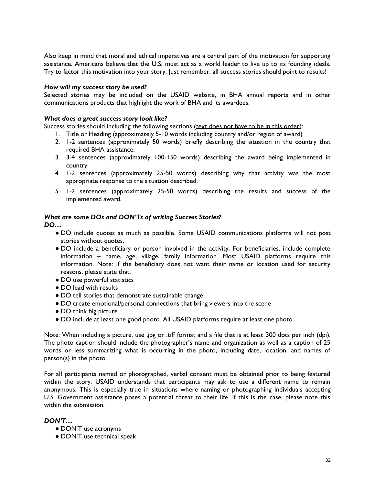Also keep in mind that moral and ethical imperatives are a central part of the motivation for supporting assistance. Americans believe that the U.S. must act as a world leader to live up to its founding ideals. Try to factor this motivation into your story. Just remember, all success stories should point to results!

#### *How will my success story be used?*

Selected stories may be included on the USAID website, in BHA annual reports and in other communications products that highlight the work of BHA and its awardees.

#### *What does a great success story look like?*

Success stories should including the following sections (text does not have to be in this order):

- 1. Title or Heading (approximately 5-10 words including country and/or region of award)
- 2. 1-2 sentences (approximately 50 words) briefly describing the situation in the country that required BHA assistance.
- 3. 3-4 sentences (approximately 100-150 words) describing the award being implemented in country.
- 4. 1-2 sentences (approximately 25-50 words) describing why that activity was the most appropriate response to the situation described.
- 5. 1-2 sentences (approximately 25-50 words) describing the results and success of the implemented award.

### *What are some DOs and DON'Ts of writing Success Stories?*

*DO…*

- DO include quotes as much as possible. Some USAID communications platforms will not post stories without quotes.
- DO include a beneficiary or person involved in the activity. For beneficiaries, include complete information – name, age, village, family information. Most USAID platforms require this information. Note: if the beneficiary does not want their name or location used for security reasons, please state that.
- DO use powerful statistics
- DO lead with results
- DO tell stories that demonstrate sustainable change
- DO create emotional/personal connections that bring viewers into the scene
- DO think big picture
- DO include at least one good photo. All USAID platforms require at least one photo.

Note: When including a picture, use .jpg or .tiff format and a file that is at least 300 dots per inch (dpi). The photo caption should include the photographer's name and organization as well as a caption of 25 words or less summarizing what is occurring in the photo, including date, location, and names of person(s) in the photo.

For all participants named or photographed, verbal consent must be obtained prior to being featured within the story. USAID understands that participants may ask to use a different name to remain anonymous. This is especially true in situations where naming or photographing individuals accepting U.S. Government assistance poses a potential threat to their life. If this is the case, please note this within the submission.

### *DON'T…*

- DON'T use acronyms
- DON'T use technical speak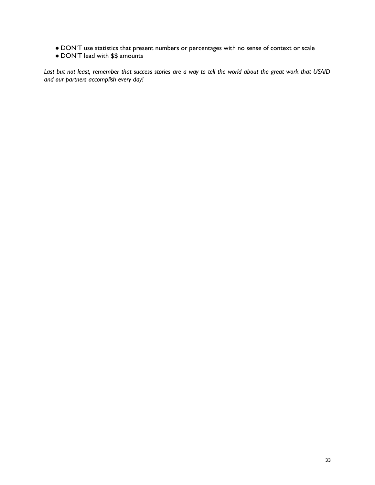- DON'T use statistics that present numbers or percentages with no sense of context or scale
- DON'T lead with \$\$ amounts

*Last but not least, remember that success stories are a way to tell the world about the great work that USAID and our partners accomplish every day!*